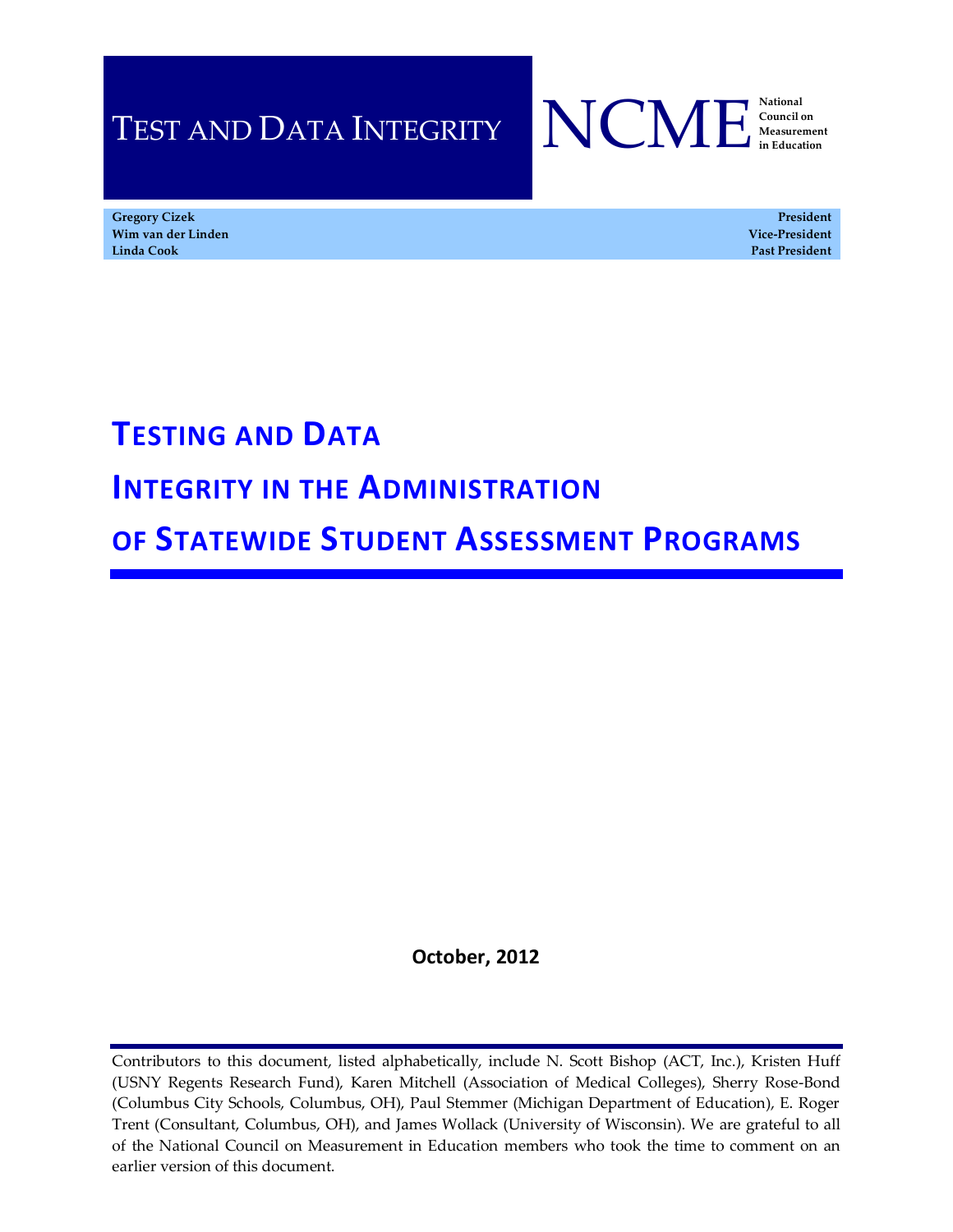# TEST AND DATA INTEGRITY NEWSLET NATIONAL TREASURING THE COuncil of



**Council on Measurement in Education**

**Gregory Cizek Wim van der Linden Linda Cook**

**President Vice-President Past President**

## **TESTING AND DATA INTEGRITY IN THE ADMINISTRATION OF STATEWIDE STUDENT ASSESSMENT PROGRAMS**

**October, 2012**

Contributors to this document, listed alphabetically, include N. Scott Bishop (ACT, Inc.), Kristen Huff (USNY Regents Research Fund), Karen Mitchell (Association of Medical Colleges), Sherry Rose-Bond (Columbus City Schools, Columbus, OH), Paul Stemmer (Michigan Department of Education), E. Roger Trent (Consultant, Columbus, OH), and James Wollack (University of Wisconsin). We are grateful to all of the National Council on Measurement in Education members who took the time to comment on an earlier version of this document.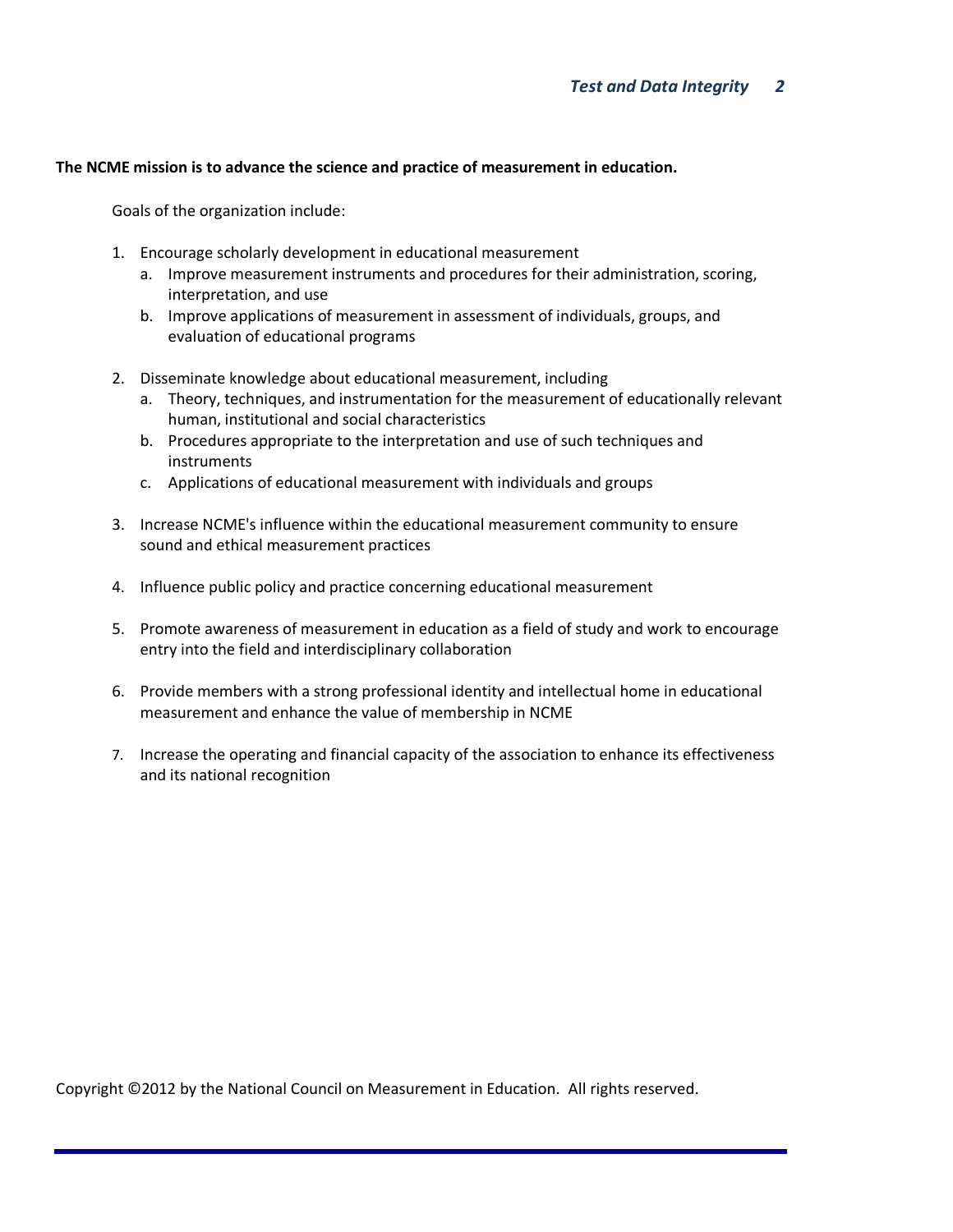#### **The NCME mission is to advance the science and practice of measurement in education.**

Goals of the organization include:

- 1. Encourage scholarly development in educational measurement
	- a. Improve measurement instruments and procedures for their administration, scoring, interpretation, and use
	- b. Improve applications of measurement in assessment of individuals, groups, and evaluation of educational programs
- 2. Disseminate knowledge about educational measurement, including
	- a. Theory, techniques, and instrumentation for the measurement of educationally relevant human, institutional and social characteristics
	- b. Procedures appropriate to the interpretation and use of such techniques and instruments
	- c. Applications of educational measurement with individuals and groups
- 3. Increase NCME's influence within the educational measurement community to ensure sound and ethical measurement practices
- 4. Influence public policy and practice concerning educational measurement
- 5. Promote awareness of measurement in education as a field of study and work to encourage entry into the field and interdisciplinary collaboration
- 6. Provide members with a strong professional identity and intellectual home in educational measurement and enhance the value of membership in NCME
- 7. Increase the operating and financial capacity of the association to enhance its effectiveness and its national recognition

Copyright ©2012 by the National Council on Measurement in Education. All rights reserved.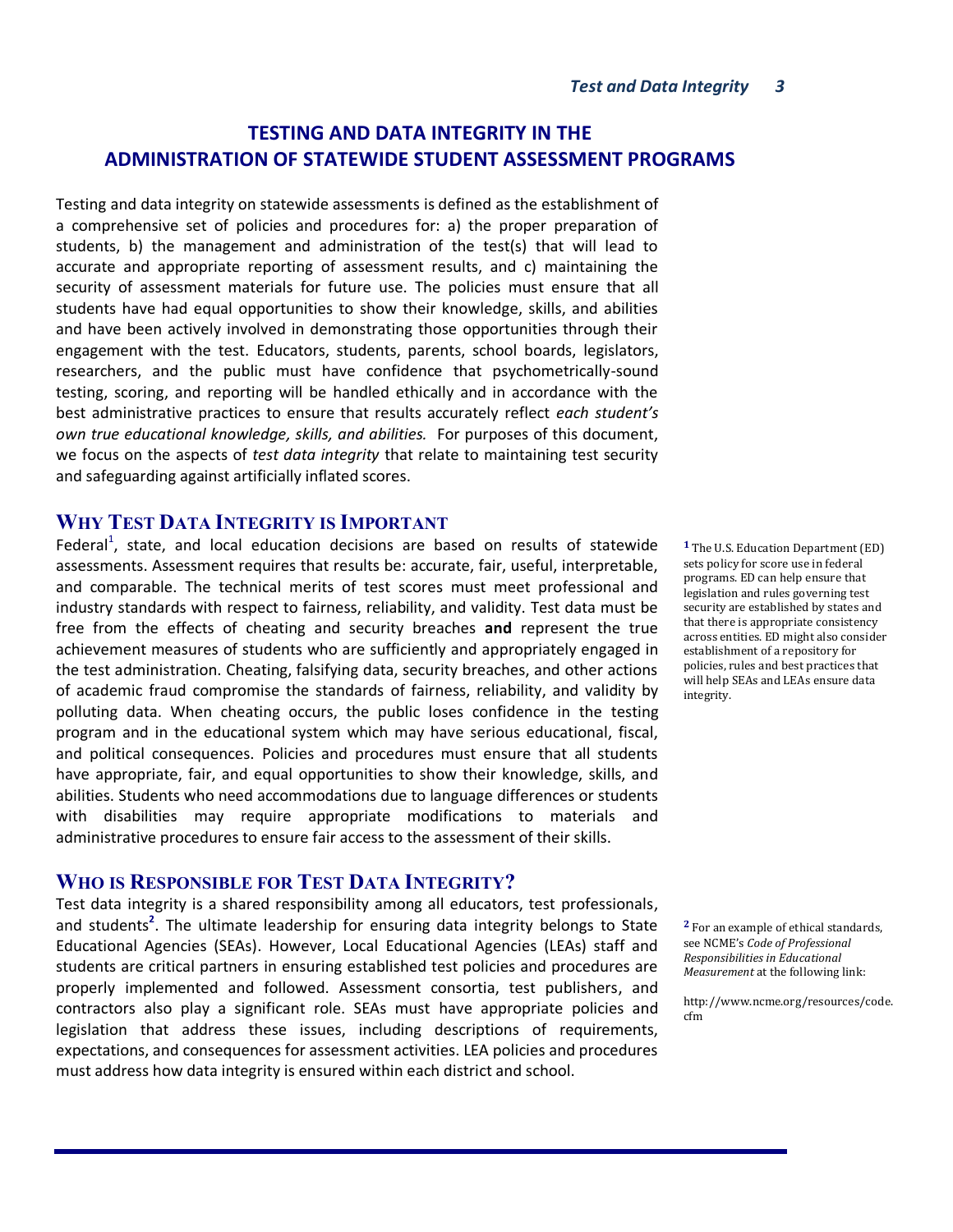## **TESTING AND DATA INTEGRITY IN THE ADMINISTRATION OF STATEWIDE STUDENT ASSESSMENT PROGRAMS**

Testing and data integrity on statewide assessments is defined as the establishment of a comprehensive set of policies and procedures for: a) the proper preparation of students, b) the management and administration of the test(s) that will lead to accurate and appropriate reporting of assessment results, and c) maintaining the security of assessment materials for future use. The policies must ensure that all students have had equal opportunities to show their knowledge, skills, and abilities and have been actively involved in demonstrating those opportunities through their engagement with the test. Educators, students, parents, school boards, legislators, researchers, and the public must have confidence that psychometrically-sound testing, scoring, and reporting will be handled ethically and in accordance with the best administrative practices to ensure that results accurately reflect *each student's own true educational knowledge, skills, and abilities.* For purposes of this document, we focus on the aspects of *test data integrity* that relate to maintaining test security and safeguarding against artificially inflated scores.

#### **WHY TEST DATA INTEGRITY IS IMPORTANT**

Federal<sup>1</sup>, state, and local education decisions are based on results of statewide assessments. Assessment requires that results be: accurate, fair, useful, interpretable, and comparable. The technical merits of test scores must meet professional and industry standards with respect to fairness, reliability, and validity. Test data must be free from the effects of cheating and security breaches **and** represent the true achievement measures of students who are sufficiently and appropriately engaged in the test administration. Cheating, falsifying data, security breaches, and other actions of academic fraud compromise the standards of fairness, reliability, and validity by polluting data. When cheating occurs, the public loses confidence in the testing program and in the educational system which may have serious educational, fiscal, and political consequences. Policies and procedures must ensure that all students have appropriate, fair, and equal opportunities to show their knowledge, skills, and abilities. Students who need accommodations due to language differences or students with disabilities may require appropriate modifications to materials and administrative procedures to ensure fair access to the assessment of their skills.

### **WHO IS RESPONSIBLE FOR TEST DATA INTEGRITY?**

Test data integrity is a shared responsibility among all educators, test professionals, and students**<sup>2</sup>** . The ultimate leadership for ensuring data integrity belongs to State Educational Agencies (SEAs). However, Local Educational Agencies (LEAs) staff and students are critical partners in ensuring established test policies and procedures are properly implemented and followed. Assessment consortia, test publishers, and contractors also play a significant role. SEAs must have appropriate policies and legislation that address these issues, including descriptions of requirements, expectations, and consequences for assessment activities. LEA policies and procedures must address how data integrity is ensured within each district and school.

**1** The U.S. Education Department (ED) sets policy for score use in federal programs. ED can help ensure that legislation and rules governing test security are established by states and that there is appropriate consistency across entities. ED might also consider establishment of a repository for policies, rules and best practices that will help SEAs and LEAs ensure data integrity.

**2** For an example of ethical standards, see NCME's *Code of Professional Responsibilities in Educational Measurement* at the following link:

http://www.ncme.org/resources/code. cfm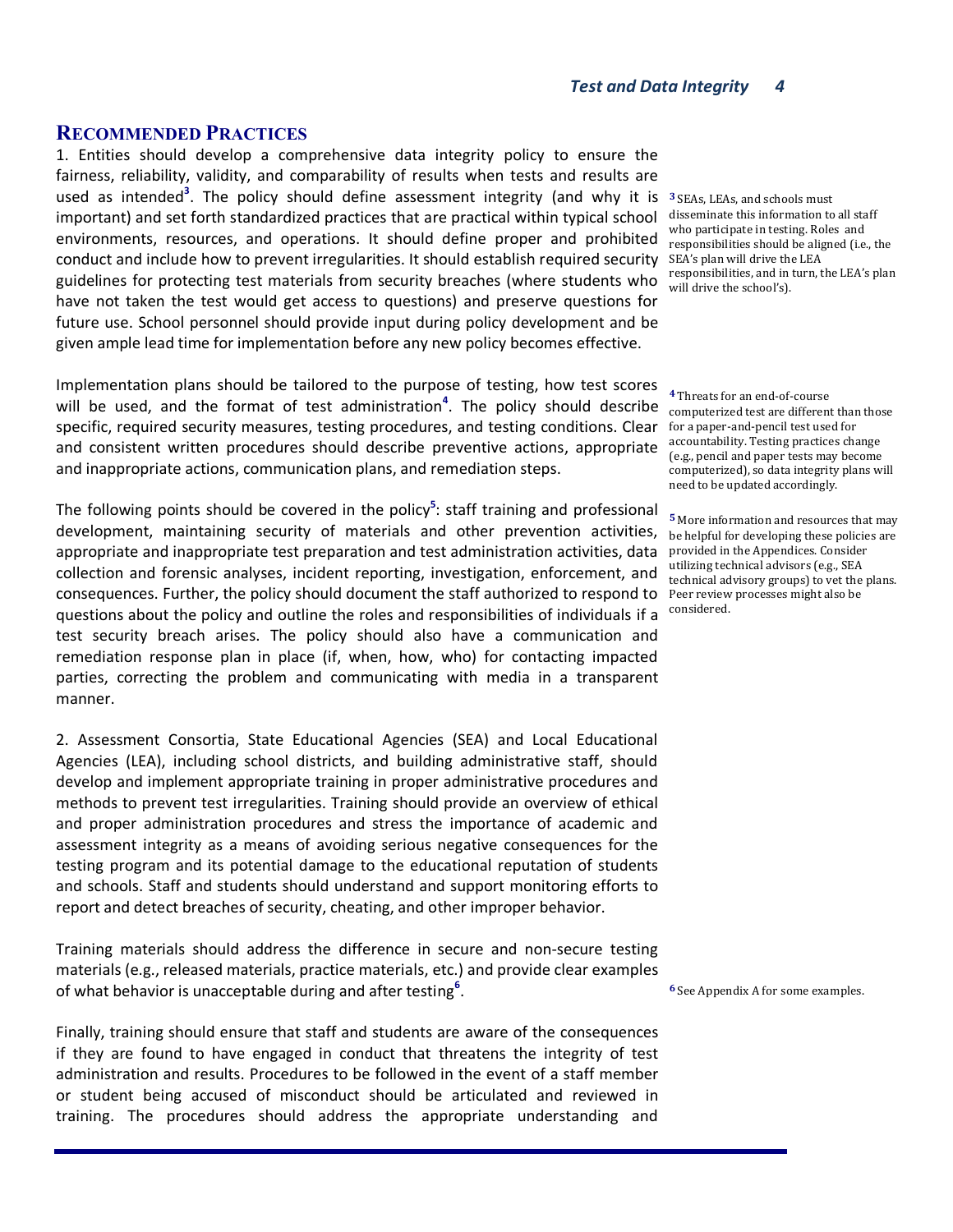#### **RECOMMENDED PRACTICES**

1. Entities should develop a comprehensive data integrity policy to ensure the fairness, reliability, validity, and comparability of results when tests and results are used as intended<sup>3</sup>. The policy should define assessment integrity (and why it is <sup>3</sup> SEAs, LEAs, and schools must important) and set forth standardized practices that are practical within typical school environments, resources, and operations. It should define proper and prohibited conduct and include how to prevent irregularities. It should establish required security guidelines for protecting test materials from security breaches (where students who have not taken the test would get access to questions) and preserve questions for future use. School personnel should provide input during policy development and be given ample lead time for implementation before any new policy becomes effective.

Implementation plans should be tailored to the purpose of testing, how test scores will be used, and the format of test administration<sup>4</sup>. The policy should describe specific, required security measures, testing procedures, and testing conditions. Clear and consistent written procedures should describe preventive actions, appropriate and inappropriate actions, communication plans, and remediation steps.

The following points should be covered in the policy**<sup>5</sup>** : staff training and professional development, maintaining security of materials and other prevention activities, appropriate and inappropriate test preparation and test administration activities, data collection and forensic analyses, incident reporting, investigation, enforcement, and consequences. Further, the policy should document the staff authorized to respond to questions about the policy and outline the roles and responsibilities of individuals if a test security breach arises. The policy should also have a communication and remediation response plan in place (if, when, how, who) for contacting impacted parties, correcting the problem and communicating with media in a transparent manner.

2. Assessment Consortia, State Educational Agencies (SEA) and Local Educational Agencies (LEA), including school districts, and building administrative staff, should develop and implement appropriate training in proper administrative procedures and methods to prevent test irregularities. Training should provide an overview of ethical and proper administration procedures and stress the importance of academic and assessment integrity as a means of avoiding serious negative consequences for the testing program and its potential damage to the educational reputation of students and schools. Staff and students should understand and support monitoring efforts to report and detect breaches of security, cheating, and other improper behavior.

Training materials should address the difference in secure and non-secure testing materials (e.g., released materials, practice materials, etc.) and provide clear examples of what behavior is unacceptable during and after testing**<sup>6</sup>** .

Finally, training should ensure that staff and students are aware of the consequences if they are found to have engaged in conduct that threatens the integrity of test administration and results. Procedures to be followed in the event of a staff member or student being accused of misconduct should be articulated and reviewed in training. The procedures should address the appropriate understanding and

disseminate this information to all staff who participate in testing. Roles and responsibilities should be aligned (i.e., the SEA's plan will drive the LEA responsibilities, and in turn, the LEA's plan will drive the school's).

**4** Threats for an end-of-course computerized test are different than those for a paper-and-pencil test used for accountability. Testing practices change (e.g., pencil and paper tests may become computerized), so data integrity plans will need to be updated accordingly.

**5** More information and resources that may be helpful for developing these policies are provided in the Appendices. Consider utilizing technical advisors (e.g., SEA technical advisory groups) to vet the plans. Peer review processes might also be considered.

**6** See Appendix A for some examples.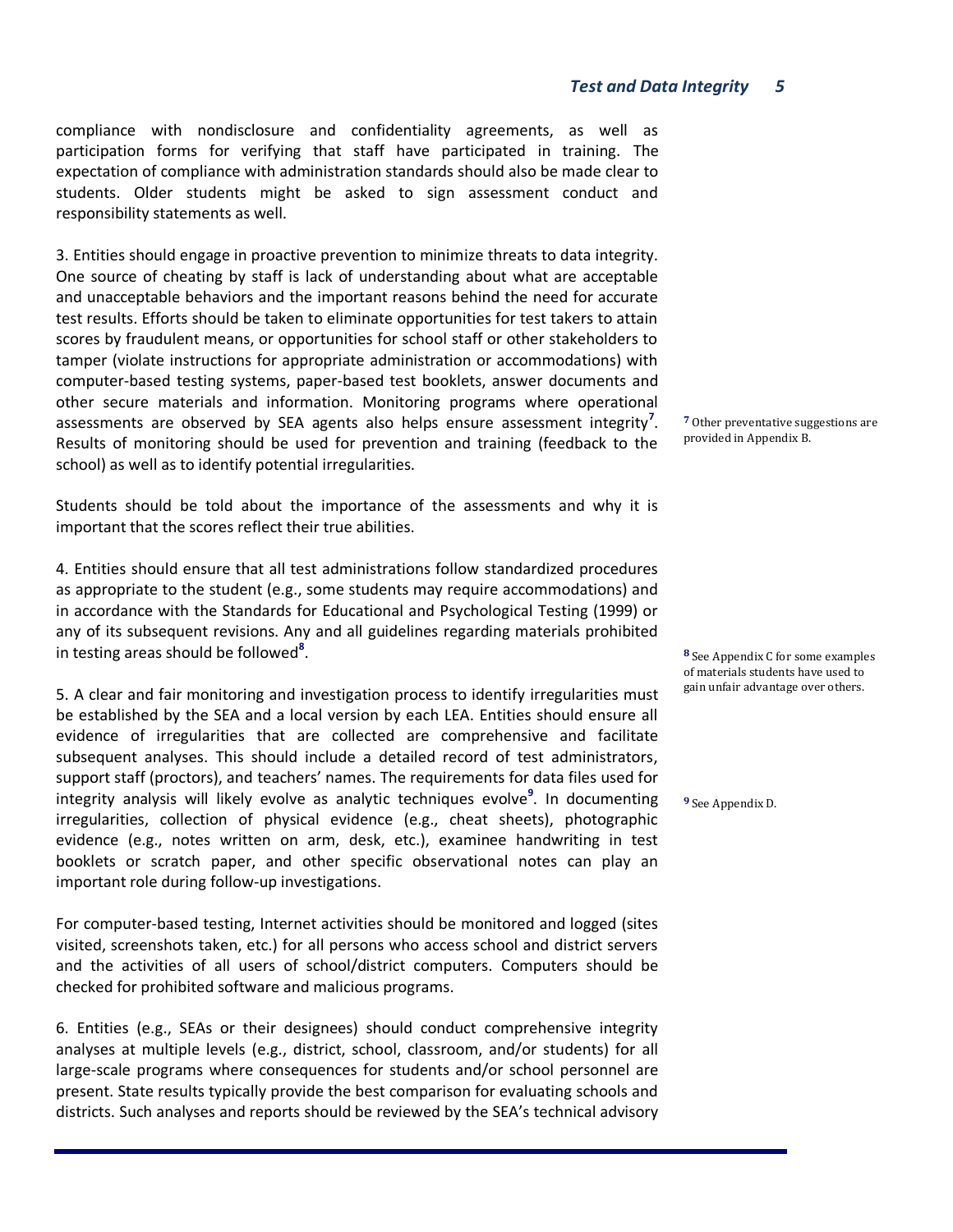compliance with nondisclosure and confidentiality agreements, as well as participation forms for verifying that staff have participated in training. The expectation of compliance with administration standards should also be made clear to students. Older students might be asked to sign assessment conduct and responsibility statements as well.

3. Entities should engage in proactive prevention to minimize threats to data integrity. One source of cheating by staff is lack of understanding about what are acceptable and unacceptable behaviors and the important reasons behind the need for accurate test results. Efforts should be taken to eliminate opportunities for test takers to attain scores by fraudulent means, or opportunities for school staff or other stakeholders to tamper (violate instructions for appropriate administration or accommodations) with computer-based testing systems, paper-based test booklets, answer documents and other secure materials and information. Monitoring programs where operational assessments are observed by SEA agents also helps ensure assessment integrity**<sup>7</sup>** . Results of monitoring should be used for prevention and training (feedback to the school) as well as to identify potential irregularities.

Students should be told about the importance of the assessments and why it is important that the scores reflect their true abilities.

4. Entities should ensure that all test administrations follow standardized procedures as appropriate to the student (e.g., some students may require accommodations) and in accordance with the Standards for Educational and Psychological Testing (1999) or any of its subsequent revisions. Any and all guidelines regarding materials prohibited in testing areas should be followed**<sup>8</sup>** .

5. A clear and fair monitoring and investigation process to identify irregularities must be established by the SEA and a local version by each LEA. Entities should ensure all evidence of irregularities that are collected are comprehensive and facilitate subsequent analyses. This should include a detailed record of test administrators, support staff (proctors), and teachers' names. The requirements for data files used for integrity analysis will likely evolve as analytic techniques evolve**<sup>9</sup>** . In documenting irregularities, collection of physical evidence (e.g., cheat sheets), photographic evidence (e.g., notes written on arm, desk, etc.), examinee handwriting in test booklets or scratch paper, and other specific observational notes can play an important role during follow-up investigations.

For computer-based testing, Internet activities should be monitored and logged (sites visited, screenshots taken, etc.) for all persons who access school and district servers and the activities of all users of school/district computers. Computers should be checked for prohibited software and malicious programs.

6. Entities (e.g., SEAs or their designees) should conduct comprehensive integrity analyses at multiple levels (e.g., district, school, classroom, and/or students) for all large-scale programs where consequences for students and/or school personnel are present. State results typically provide the best comparison for evaluating schools and districts. Such analyses and reports should be reviewed by the SEA's technical advisory **7** Other preventative suggestions are provided in Appendix B.

**8** See Appendix C for some examples of materials students have used to gain unfair advantage over others.

**9** See Appendix D.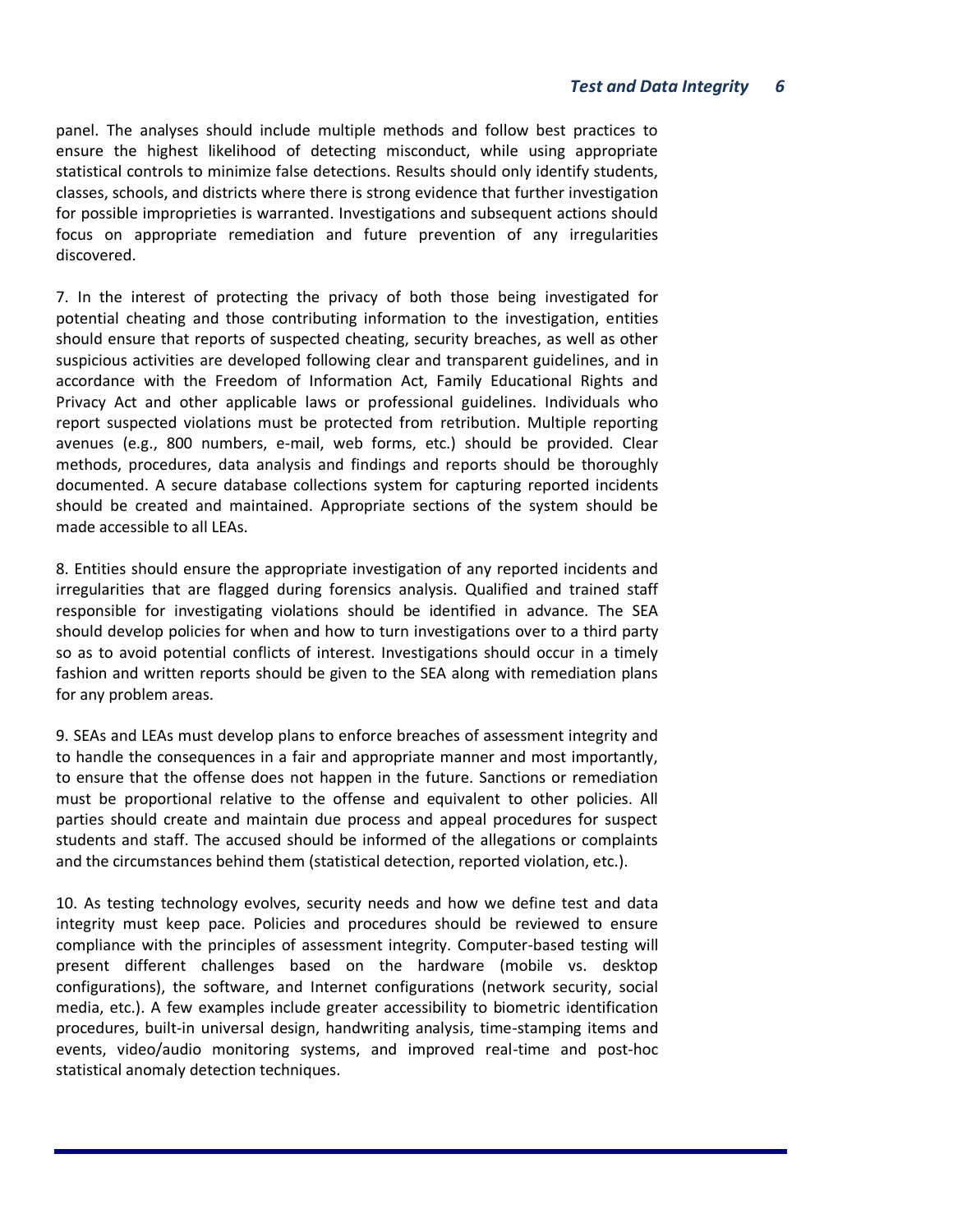panel. The analyses should include multiple methods and follow best practices to ensure the highest likelihood of detecting misconduct, while using appropriate statistical controls to minimize false detections. Results should only identify students, classes, schools, and districts where there is strong evidence that further investigation for possible improprieties is warranted. Investigations and subsequent actions should focus on appropriate remediation and future prevention of any irregularities discovered.

7. In the interest of protecting the privacy of both those being investigated for potential cheating and those contributing information to the investigation, entities should ensure that reports of suspected cheating, security breaches, as well as other suspicious activities are developed following clear and transparent guidelines, and in accordance with the Freedom of Information Act, Family Educational Rights and Privacy Act and other applicable laws or professional guidelines. Individuals who report suspected violations must be protected from retribution. Multiple reporting avenues (e.g., 800 numbers, e-mail, web forms, etc.) should be provided. Clear methods, procedures, data analysis and findings and reports should be thoroughly documented. A secure database collections system for capturing reported incidents should be created and maintained. Appropriate sections of the system should be made accessible to all LEAs.

8. Entities should ensure the appropriate investigation of any reported incidents and irregularities that are flagged during forensics analysis. Qualified and trained staff responsible for investigating violations should be identified in advance. The SEA should develop policies for when and how to turn investigations over to a third party so as to avoid potential conflicts of interest. Investigations should occur in a timely fashion and written reports should be given to the SEA along with remediation plans for any problem areas.

9. SEAs and LEAs must develop plans to enforce breaches of assessment integrity and to handle the consequences in a fair and appropriate manner and most importantly, to ensure that the offense does not happen in the future. Sanctions or remediation must be proportional relative to the offense and equivalent to other policies. All parties should create and maintain due process and appeal procedures for suspect students and staff. The accused should be informed of the allegations or complaints and the circumstances behind them (statistical detection, reported violation, etc.).

10. As testing technology evolves, security needs and how we define test and data integrity must keep pace. Policies and procedures should be reviewed to ensure compliance with the principles of assessment integrity. Computer-based testing will present different challenges based on the hardware (mobile vs. desktop configurations), the software, and Internet configurations (network security, social media, etc.). A few examples include greater accessibility to biometric identification procedures, built-in universal design, handwriting analysis, time-stamping items and events, video/audio monitoring systems, and improved real-time and post-hoc statistical anomaly detection techniques.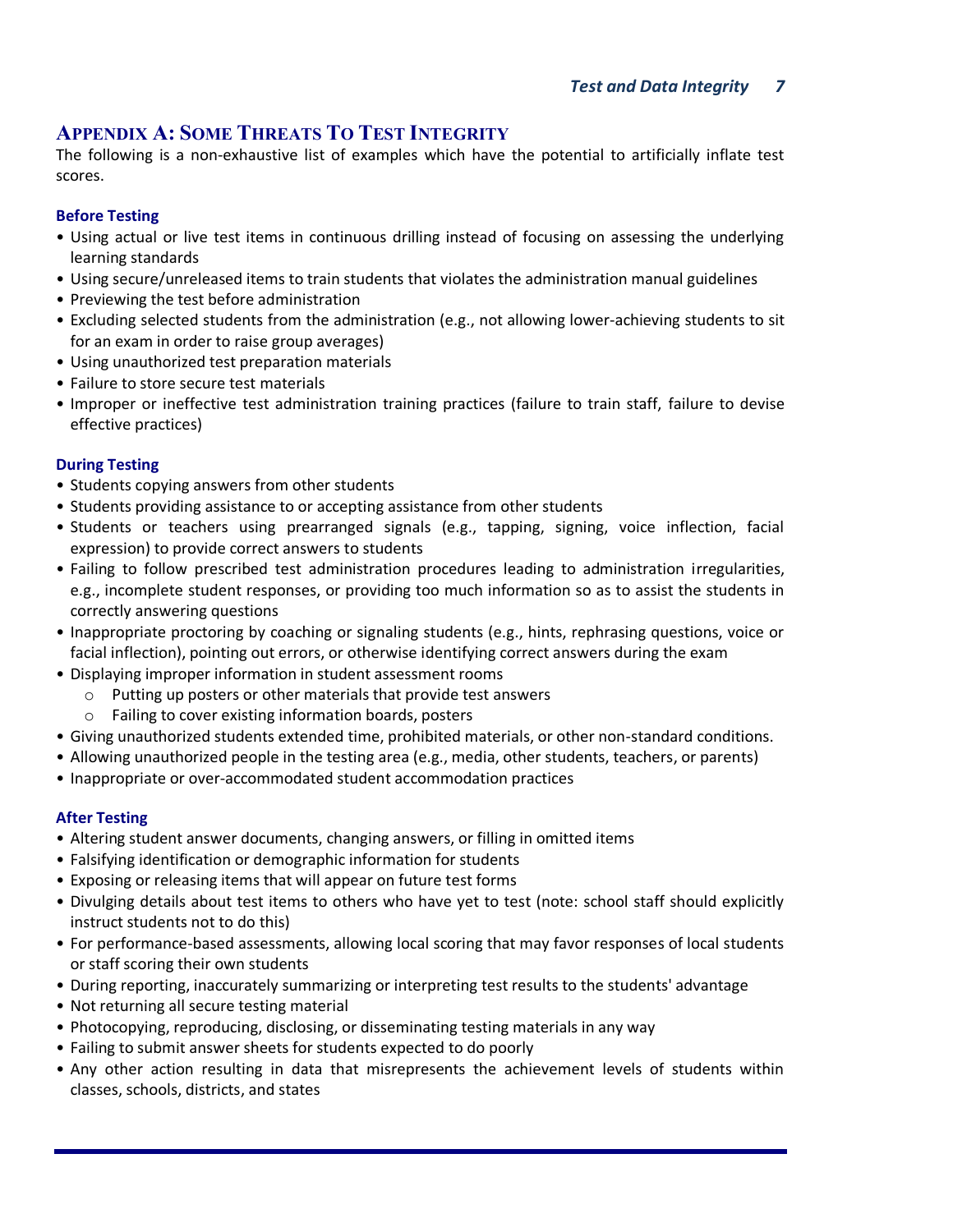## **APPENDIX A: SOME THREATS TO TEST INTEGRITY**

The following is a non-exhaustive list of examples which have the potential to artificially inflate test scores.

#### **Before Testing**

- Using actual or live test items in continuous drilling instead of focusing on assessing the underlying learning standards
- Using secure/unreleased items to train students that violates the administration manual guidelines
- Previewing the test before administration
- Excluding selected students from the administration (e.g., not allowing lower-achieving students to sit for an exam in order to raise group averages)
- Using unauthorized test preparation materials
- Failure to store secure test materials
- Improper or ineffective test administration training practices (failure to train staff, failure to devise effective practices)

#### **During Testing**

- Students copying answers from other students
- Students providing assistance to or accepting assistance from other students
- Students or teachers using prearranged signals (e.g., tapping, signing, voice inflection, facial expression) to provide correct answers to students
- Failing to follow prescribed test administration procedures leading to administration irregularities, e.g., incomplete student responses, or providing too much information so as to assist the students in correctly answering questions
- Inappropriate proctoring by coaching or signaling students (e.g., hints, rephrasing questions, voice or facial inflection), pointing out errors, or otherwise identifying correct answers during the exam
- Displaying improper information in student assessment rooms
	- o Putting up posters or other materials that provide test answers
	- o Failing to cover existing information boards, posters
- Giving unauthorized students extended time, prohibited materials, or other non-standard conditions.
- Allowing unauthorized people in the testing area (e.g., media, other students, teachers, or parents)
- Inappropriate or over-accommodated student accommodation practices

#### **After Testing**

- Altering student answer documents, changing answers, or filling in omitted items
- Falsifying identification or demographic information for students
- Exposing or releasing items that will appear on future test forms
- Divulging details about test items to others who have yet to test (note: school staff should explicitly instruct students not to do this)
- For performance-based assessments, allowing local scoring that may favor responses of local students or staff scoring their own students
- During reporting, inaccurately summarizing or interpreting test results to the students' advantage
- Not returning all secure testing material
- Photocopying, reproducing, disclosing, or disseminating testing materials in any way
- Failing to submit answer sheets for students expected to do poorly
- Any other action resulting in data that misrepresents the achievement levels of students within classes, schools, districts, and states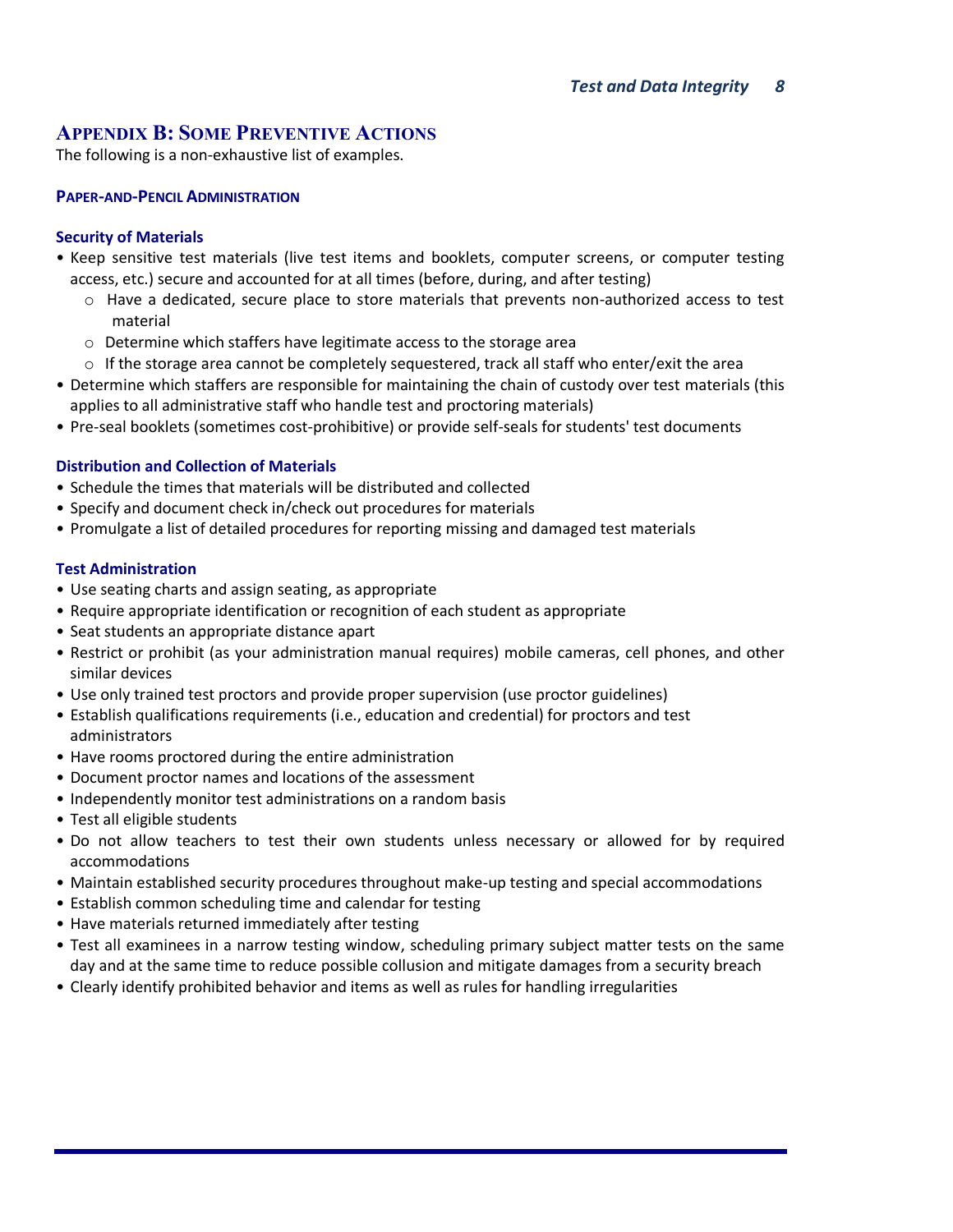## **APPENDIX B: SOME PREVENTIVE ACTIONS**

The following is a non-exhaustive list of examples.

#### **PAPER-AND-PENCIL ADMINISTRATION**

#### **Security of Materials**

- Keep sensitive test materials (live test items and booklets, computer screens, or computer testing access, etc.) secure and accounted for at all times (before, during, and after testing)
	- o Have a dedicated, secure place to store materials that prevents non-authorized access to test material
	- o Determine which staffers have legitimate access to the storage area
	- $\circ$  If the storage area cannot be completely sequestered, track all staff who enter/exit the area
- Determine which staffers are responsible for maintaining the chain of custody over test materials (this applies to all administrative staff who handle test and proctoring materials)
- Pre-seal booklets (sometimes cost-prohibitive) or provide self-seals for students' test documents

#### **Distribution and Collection of Materials**

- Schedule the times that materials will be distributed and collected
- Specify and document check in/check out procedures for materials
- Promulgate a list of detailed procedures for reporting missing and damaged test materials

#### **Test Administration**

- Use seating charts and assign seating, as appropriate
- Require appropriate identification or recognition of each student as appropriate
- Seat students an appropriate distance apart
- Restrict or prohibit (as your administration manual requires) mobile cameras, cell phones, and other similar devices
- Use only trained test proctors and provide proper supervision (use proctor guidelines)
- Establish qualifications requirements (i.e., education and credential) for proctors and test administrators
- Have rooms proctored during the entire administration
- Document proctor names and locations of the assessment
- Independently monitor test administrations on a random basis
- Test all eligible students
- Do not allow teachers to test their own students unless necessary or allowed for by required accommodations
- Maintain established security procedures throughout make-up testing and special accommodations
- Establish common scheduling time and calendar for testing
- Have materials returned immediately after testing
- Test all examinees in a narrow testing window, scheduling primary subject matter tests on the same day and at the same time to reduce possible collusion and mitigate damages from a security breach
- Clearly identify prohibited behavior and items as well as rules for handling irregularities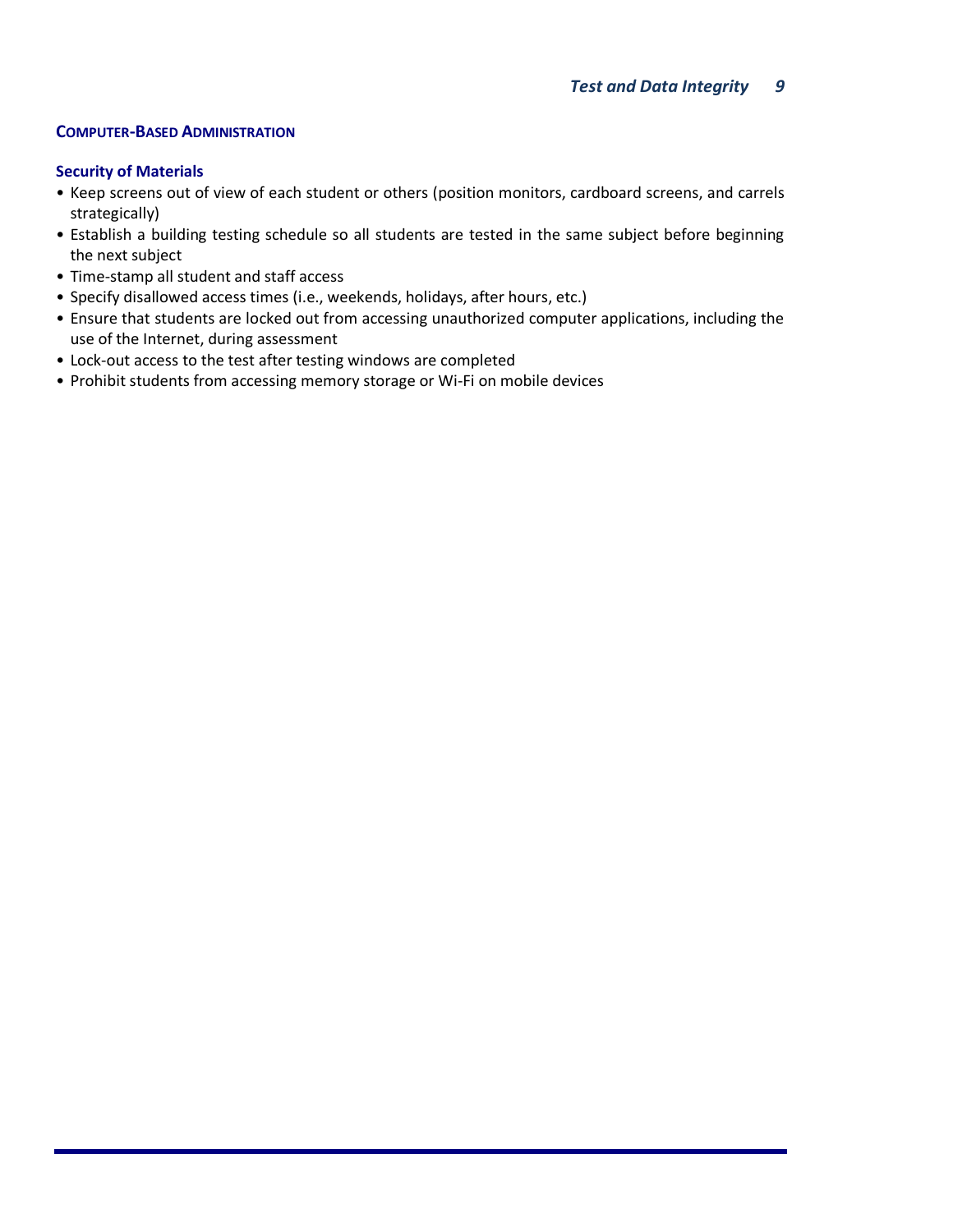#### **COMPUTER-BASED ADMINISTRATION**

#### **Security of Materials**

- Keep screens out of view of each student or others (position monitors, cardboard screens, and carrels strategically)
- Establish a building testing schedule so all students are tested in the same subject before beginning the next subject
- Time-stamp all student and staff access
- Specify disallowed access times (i.e., weekends, holidays, after hours, etc.)
- Ensure that students are locked out from accessing unauthorized computer applications, including the use of the Internet, during assessment
- Lock-out access to the test after testing windows are completed
- Prohibit students from accessing memory storage or Wi-Fi on mobile devices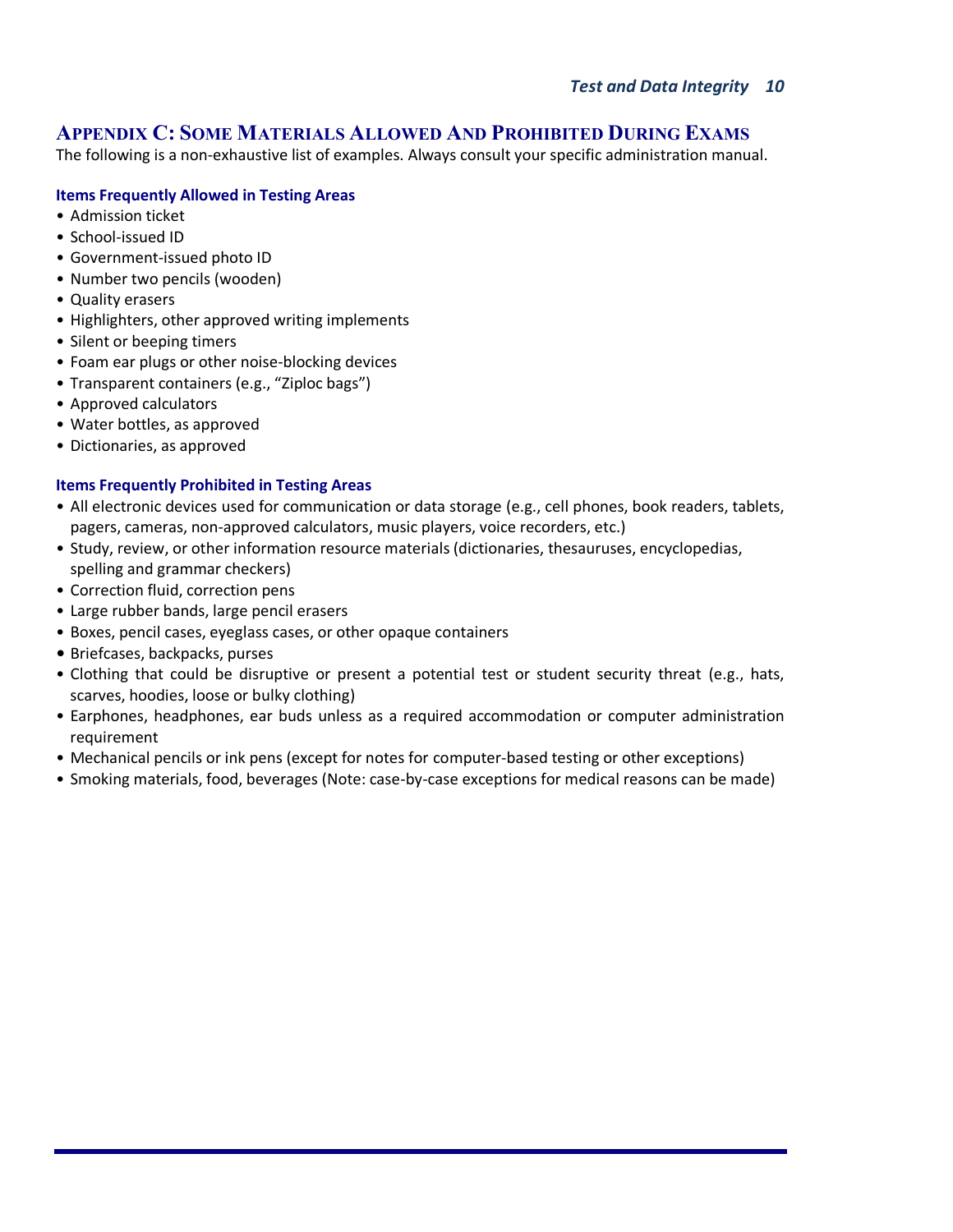## **APPENDIX C: SOME MATERIALS ALLOWED AND PROHIBITED DURING EXAMS**

The following is a non-exhaustive list of examples. Always consult your specific administration manual.

#### **Items Frequently Allowed in Testing Areas**

- Admission ticket
- School-issued ID
- Government-issued photo ID
- Number two pencils (wooden)
- Quality erasers
- Highlighters, other approved writing implements
- Silent or beeping timers
- Foam ear plugs or other noise-blocking devices
- Transparent containers (e.g., "Ziploc bags")
- Approved calculators
- Water bottles, as approved
- Dictionaries, as approved

#### **Items Frequently Prohibited in Testing Areas**

- All electronic devices used for communication or data storage (e.g., cell phones, book readers, tablets, pagers, cameras, non-approved calculators, music players, voice recorders, etc.)
- Study, review, or other information resource materials (dictionaries, thesauruses, encyclopedias, spelling and grammar checkers)
- Correction fluid, correction pens
- Large rubber bands, large pencil erasers
- Boxes, pencil cases, eyeglass cases, or other opaque containers
- Briefcases, backpacks, purses
- Clothing that could be disruptive or present a potential test or student security threat (e.g., hats, scarves, hoodies, loose or bulky clothing)
- Earphones, headphones, ear buds unless as a required accommodation or computer administration requirement
- Mechanical pencils or ink pens (except for notes for computer-based testing or other exceptions)
- Smoking materials, food, beverages (Note: case-by-case exceptions for medical reasons can be made)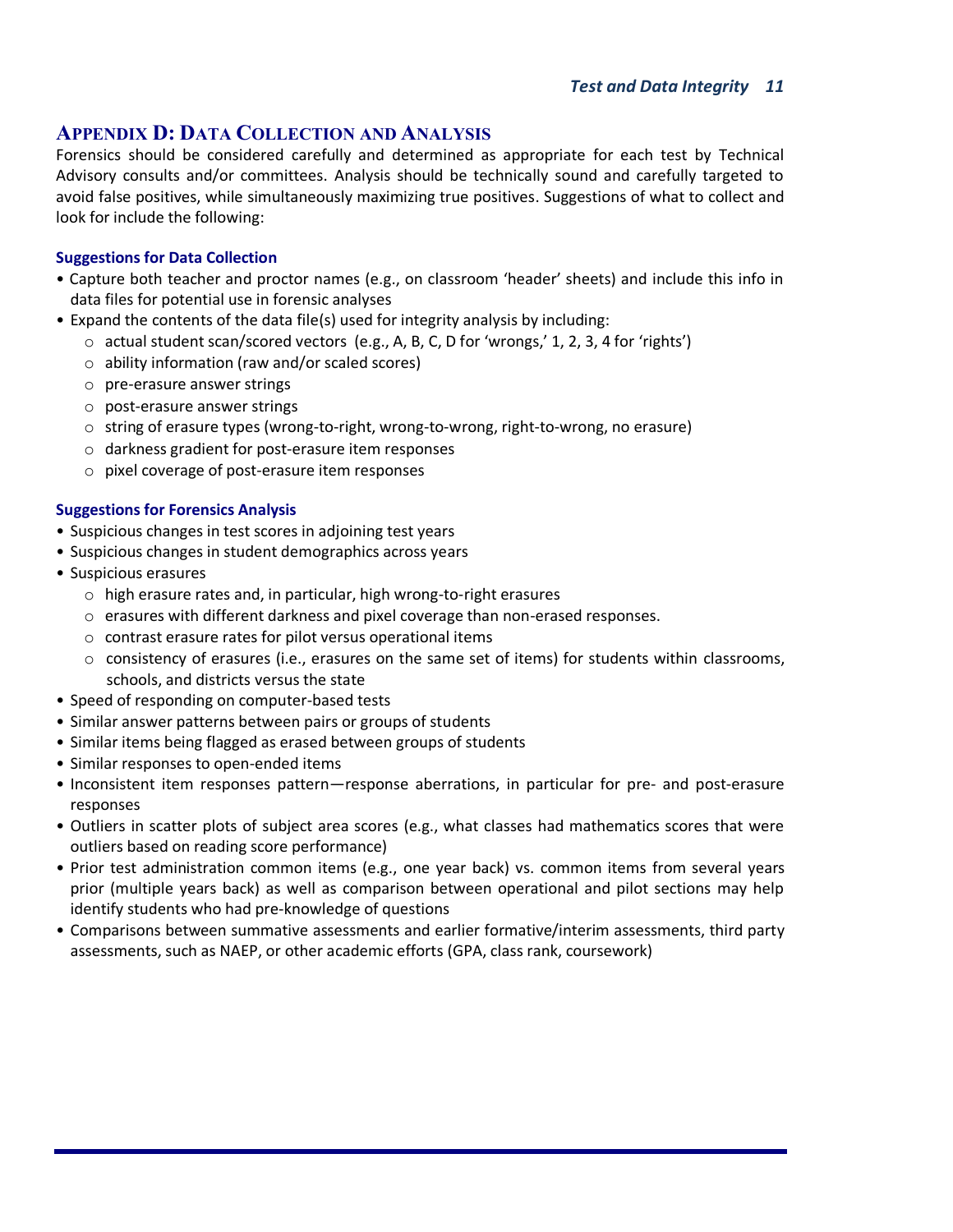## **APPENDIX D: DATA COLLECTION AND ANALYSIS**

Forensics should be considered carefully and determined as appropriate for each test by Technical Advisory consults and/or committees. Analysis should be technically sound and carefully targeted to avoid false positives, while simultaneously maximizing true positives. Suggestions of what to collect and look for include the following:

#### **Suggestions for Data Collection**

- Capture both teacher and proctor names (e.g., on classroom 'header' sheets) and include this info in data files for potential use in forensic analyses
- Expand the contents of the data file(s) used for integrity analysis by including:
	- o actual student scan/scored vectors (e.g., A, B, C, D for 'wrongs,' 1, 2, 3, 4 for 'rights')
	- o ability information (raw and/or scaled scores)
	- o pre-erasure answer strings
	- o post-erasure answer strings
	- o string of erasure types (wrong-to-right, wrong-to-wrong, right-to-wrong, no erasure)
	- o darkness gradient for post-erasure item responses
	- o pixel coverage of post-erasure item responses

#### **Suggestions for Forensics Analysis**

- Suspicious changes in test scores in adjoining test years
- Suspicious changes in student demographics across years
- Suspicious erasures
	- o high erasure rates and, in particular, high wrong-to-right erasures
	- o erasures with different darkness and pixel coverage than non-erased responses.
	- o contrast erasure rates for pilot versus operational items
	- o consistency of erasures (i.e., erasures on the same set of items) for students within classrooms, schools, and districts versus the state
- Speed of responding on computer-based tests
- Similar answer patterns between pairs or groups of students
- Similar items being flagged as erased between groups of students
- Similar responses to open-ended items
- Inconsistent item responses pattern—response aberrations, in particular for pre- and post-erasure responses
- Outliers in scatter plots of subject area scores (e.g., what classes had mathematics scores that were outliers based on reading score performance)
- Prior test administration common items (e.g., one year back) vs. common items from several years prior (multiple years back) as well as comparison between operational and pilot sections may help identify students who had pre-knowledge of questions
- Comparisons between summative assessments and earlier formative/interim assessments, third party assessments, such as NAEP, or other academic efforts (GPA, class rank, coursework)